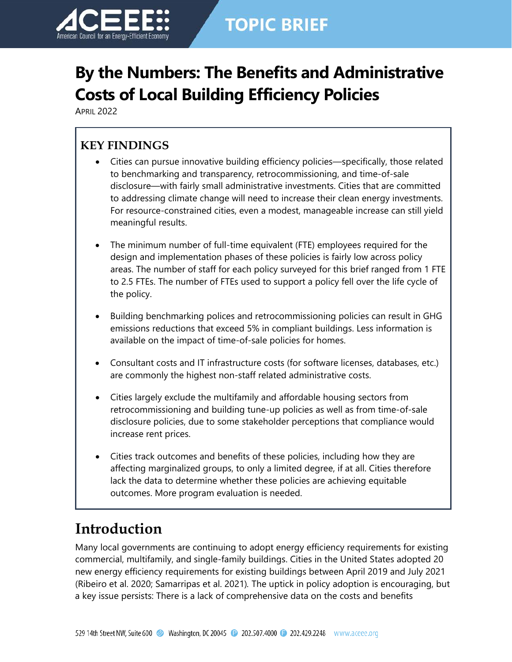

# **TOPIC BRIEF**

# **By the Numbers: The Benefits and Administrative Costs of Local Building Efficiency Policies**

APRIL 2022

### **KEY FINDINGS**

- Cities can pursue innovative building efficiency policies—specifically, those related to benchmarking and transparency, retrocommissioning, and time-of-sale disclosure—with fairly small administrative investments. Cities that are committed to addressing climate change will need to increase their clean energy investments. For resource-constrained cities, even a modest, manageable increase can still yield meaningful results.
- The minimum number of full-time equivalent (FTE) employees required for the design and implementation phases of these policies is fairly low across policy areas. The number of staff for each policy surveyed for this brief ranged from 1 FTE to 2.5 FTEs. The number of FTEs used to support a policy fell over the life cycle of the policy.
- Building benchmarking polices and retrocommissioning policies can result in GHG emissions reductions that exceed 5% in compliant buildings. Less information is available on the impact of time-of-sale policies for homes.
- Consultant costs and IT infrastructure costs (for software licenses, databases, etc.) are commonly the highest non-staff related administrative costs.
- Cities largely exclude the multifamily and affordable housing sectors from retrocommissioning and building tune-up policies as well as from time-of-sale disclosure policies, due to some stakeholder perceptions that compliance would increase rent prices.
- Cities track outcomes and benefits of these policies, including how they are affecting marginalized groups, to only a limited degree, if at all. Cities therefore lack the data to determine whether these policies are achieving equitable outcomes. More program evaluation is needed.

## **Introduction**

Many local governments are continuing to adopt energy efficiency requirements for existing commercial, multifamily, and single-family buildings. Cities in the United States adopted 20 new energy efficiency requirements for existing buildings between April 2019 and July 2021 (Ribeiro et al. 2020; Samarripas et al. 2021)*.* The uptick in policy adoption is encouraging, but a key issue persists: There is a lack of comprehensive data on the costs and benefits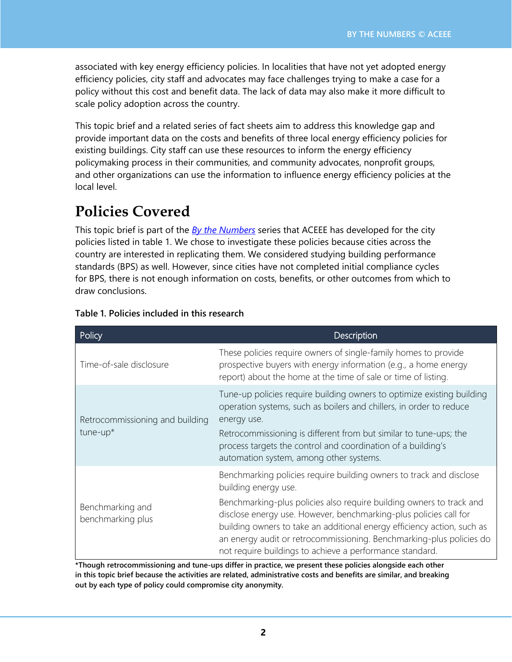associated with key energy efficiency policies. In localities that have not yet adopted energy efficiency policies, city staff and advocates may face challenges trying to make a case for a policy without this cost and benefit data. The lack of data may also make it more difficult to scale policy adoption across the country.

This topic brief and a related series of fact sheets aim to address this knowledge gap and provide important data on the costs and benefits of three local energy efficiency policies for existing buildings. City staff can use these resources to inform the energy efficiency policymaking process in their communities, and community advocates, nonprofit groups, and other organizations can use the information to influence energy efficiency policies at the local level.

## **Policies Covered**

This topic brief is part of the *By the [Numbers](https://www.aceee.org/topic-brief/2022/04/benefits-and-administrative-costs-local-building-efficiency-policies)* series that ACEEE has developed for the city policies listed in table 1. We chose to investigate these policies because cities across the country are interested in replicating them. We considered studying building performance standards (BPS) as well. However, since cities have not completed initial compliance cycles for BPS, there is not enough information on costs, benefits, or other outcomes from which to draw conclusions.

| Policy                                         | Description                                                                                                                                                                                                                                                                                                                                                                                                                                             |  |  |
|------------------------------------------------|---------------------------------------------------------------------------------------------------------------------------------------------------------------------------------------------------------------------------------------------------------------------------------------------------------------------------------------------------------------------------------------------------------------------------------------------------------|--|--|
| Time-of-sale disclosure                        | These policies require owners of single-family homes to provide<br>prospective buyers with energy information (e.g., a home energy<br>report) about the home at the time of sale or time of listing.                                                                                                                                                                                                                                                    |  |  |
| Retrocommissioning and building<br>$t$ une-up* | Tune-up policies require building owners to optimize existing building<br>operation systems, such as boilers and chillers, in order to reduce<br>energy use.<br>Retrocommissioning is different from but similar to tune-ups; the<br>process targets the control and coordination of a building's<br>automation system, among other systems.                                                                                                            |  |  |
| Benchmarking and<br>benchmarking plus          | Benchmarking policies require building owners to track and disclose<br>building energy use.<br>Benchmarking-plus policies also require building owners to track and<br>disclose energy use. However, benchmarking-plus policies call for<br>building owners to take an additional energy efficiency action, such as<br>an energy audit or retrocommissioning. Benchmarking-plus policies do<br>not require buildings to achieve a performance standard. |  |  |

#### **Table 1. Policies included in this research**

**\*Though retrocommissioning and tune-ups differ in practice, we present these policies alongside each other in this topic brief because the activities are related, administrative costs and benefits are similar, and breaking out by each type of policy could compromise city anonymity.**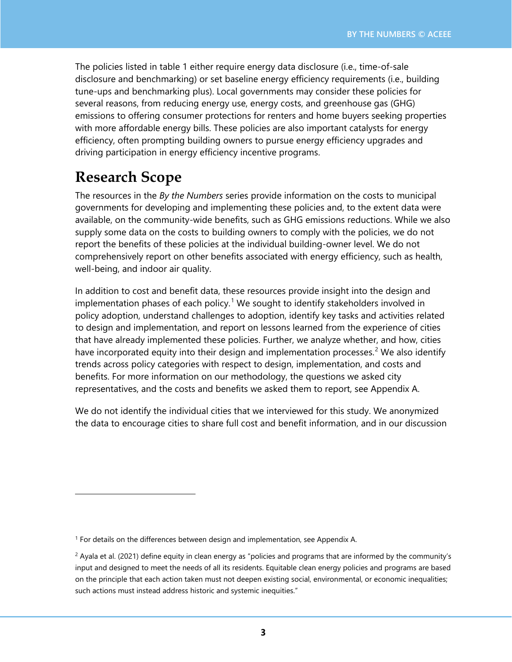The policies listed in table 1 either require energy data disclosure (i.e., time-of-sale disclosure and benchmarking) or set baseline energy efficiency requirements (i.e., building tune-ups and benchmarking plus). Local governments may consider these policies for several reasons, from reducing energy use, energy costs, and greenhouse gas (GHG) emissions to offering consumer protections for renters and home buyers seeking properties with more affordable energy bills. These policies are also important catalysts for energy efficiency, often prompting building owners to pursue energy efficiency upgrades and driving participation in energy efficiency incentive programs.

## **Research Scope**

The resources in the *By the Numbers* series provide information on the costs to municipal governments for developing and implementing these policies and, to the extent data were available, on the community-wide benefits, such as GHG emissions reductions. While we also supply some data on the costs to building owners to comply with the policies, we do not report the benefits of these policies at the individual building-owner level. We do not comprehensively report on other benefits associated with energy efficiency, such as health, well-being, and indoor air quality.

In addition to cost and benefit data, these resources provide insight into the design and implementation phases of each policy.<sup>[1](#page-2-0)</sup> We sought to identify stakeholders involved in policy adoption, understand challenges to adoption, identify key tasks and activities related to design and implementation, and report on lessons learned from the experience of cities that have already implemented these policies. Further, we analyze whether, and how, cities have incorporated equity into their design and implementation processes.<sup>[2](#page-2-1)</sup> We also identify trends across policy categories with respect to design, implementation, and costs and benefits. For more information on our methodology, the questions we asked city representatives, and the costs and benefits we asked them to report, see Appendix A.

We do not identify the individual cities that we interviewed for this study. We anonymized the data to encourage cities to share full cost and benefit information, and in our discussion

<span id="page-2-0"></span> $<sup>1</sup>$  For details on the differences between design and implementation, see Appendix A.</sup>

<span id="page-2-1"></span> $2$  Ayala et al. (2021) define equity in clean energy as "policies and programs that are informed by the community's input and designed to meet the needs of all its residents. Equitable clean energy policies and programs are based on the principle that each action taken must not deepen existing social, environmental, or economic inequalities; such actions must instead address historic and systemic inequities."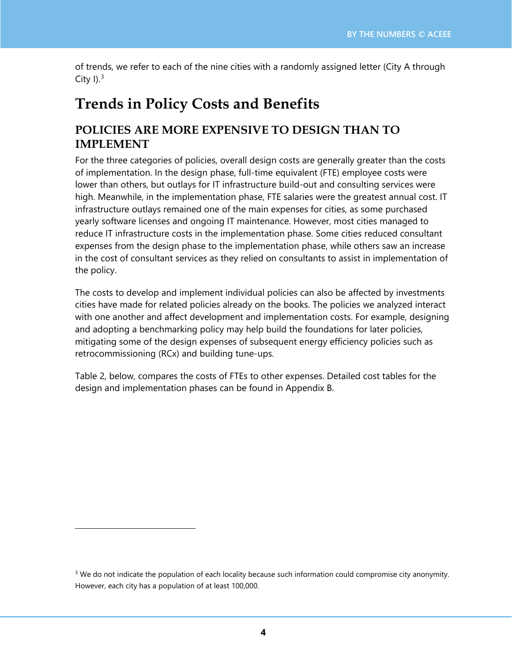of trends, we refer to each of the nine cities with a randomly assigned letter (City A through City  $I$ ).<sup>[3](#page-3-0)</sup>

## **Trends in Policy Costs and Benefits**

### **POLICIES ARE MORE EXPENSIVE TO DESIGN THAN TO IMPLEMENT**

For the three categories of policies, overall design costs are generally greater than the costs of implementation. In the design phase, full-time equivalent (FTE) employee costs were lower than others, but outlays for IT infrastructure build-out and consulting services were high. Meanwhile, in the implementation phase, FTE salaries were the greatest annual cost. IT infrastructure outlays remained one of the main expenses for cities, as some purchased yearly software licenses and ongoing IT maintenance. However, most cities managed to reduce IT infrastructure costs in the implementation phase. Some cities reduced consultant expenses from the design phase to the implementation phase, while others saw an increase in the cost of consultant services as they relied on consultants to assist in implementation of the policy.

The costs to develop and implement individual policies can also be affected by investments cities have made for related policies already on the books. The policies we analyzed interact with one another and affect development and implementation costs. For example, designing and adopting a benchmarking policy may help build the foundations for later policies, mitigating some of the design expenses of subsequent energy efficiency policies such as retrocommissioning (RCx) and building tune-ups.

Table 2, below, compares the costs of FTEs to other expenses. Detailed cost tables for the design and implementation phases can be found in Appendix B.

<span id="page-3-0"></span><sup>&</sup>lt;sup>3</sup> We do not indicate the population of each locality because such information could compromise city anonymity. However, each city has a population of at least 100,000.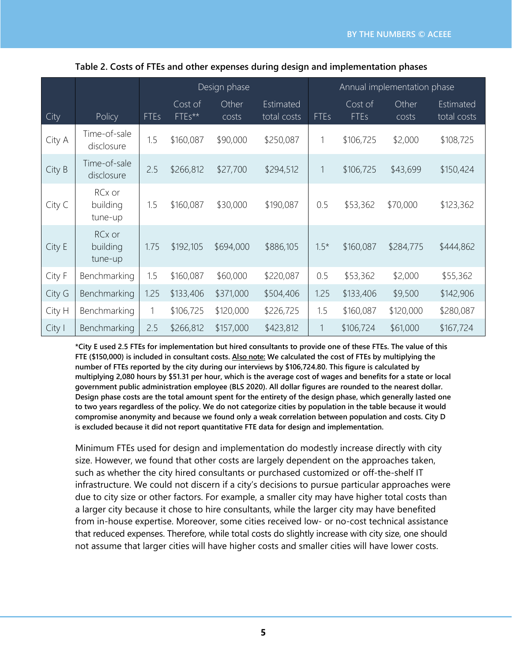|        |                               | Design phase |                   |                | Annual implementation phase |             |                        |                |                          |
|--------|-------------------------------|--------------|-------------------|----------------|-----------------------------|-------------|------------------------|----------------|--------------------------|
| City   | Policy                        | <b>FTEs</b>  | Cost of<br>FTEs** | Other<br>costs | Estimated<br>total costs    | <b>FTEs</b> | Cost of<br><b>FTEs</b> | Other<br>costs | Estimated<br>total costs |
| City A | Time-of-sale<br>disclosure    | 1.5          | \$160,087         | \$90,000       | \$250,087                   | 1           | \$106,725              | \$2,000        | \$108,725                |
| City B | Time-of-sale<br>disclosure    | 2.5          | \$266,812         | \$27,700       | \$294,512                   | 1           | \$106,725              | \$43,699       | \$150,424                |
| City C | RCx or<br>building<br>tune-up | 1.5          | \$160,087         | \$30,000       | \$190,087                   | 0.5         | \$53,362               | \$70,000       | \$123,362                |
| City E | RCx or<br>building<br>tune-up | 1.75         | \$192,105         | \$694,000      | \$886,105                   | $1.5*$      | \$160,087              | \$284,775      | \$444,862                |
| City F | Benchmarking                  | 1.5          | \$160,087         | \$60,000       | \$220,087                   | 0.5         | \$53,362               | \$2,000        | \$55,362                 |
| City G | Benchmarking                  | 1.25         | \$133,406         | \$371,000      | \$504,406                   | 1.25        | \$133,406              | \$9,500        | \$142,906                |
| City H | Benchmarking                  | 1            | \$106,725         | \$120,000      | \$226,725                   | 1.5         | \$160,087              | \$120,000      | \$280,087                |
| City I | Benchmarking                  | 2.5          | \$266,812         | \$157,000      | \$423,812                   |             | \$106,724              | \$61,000       | \$167,724                |

#### **Table 2. Costs of FTEs and other expenses during design and implementation phases**

\*City E used 2.5 FTEs for implementation but hired consultants to provide one of these FTEs. The value of this FTE (\$150,000) is included in consultant costs. Also note: We calculated the cost of FTEs by multiplying the **number of FTEs reported by the city during our interviews by \$106,724.80. This figure is calculated by** multiplying 2,080 hours by \$51.31 per hour, which is the average cost of wages and benefits for a state or local **government public administration employee (BLS 2020). All dollar figures are rounded to the nearest dollar.** Design phase costs are the total amount spent for the entirety of the design phase, which generally lasted one to two years regardless of the policy. We do not categorize cities by population in the table because it would **compromise anonymity and because we found only a weak correlation between population and costs. City D is excluded because it did not report quantitative FTE data for design and implementation.**

Minimum FTEs used for design and implementation do modestly increase directly with city size. However, we found that other costs are largely dependent on the approaches taken, such as whether the city hired consultants or purchased customized or off-the-shelf IT infrastructure. We could not discern if a city's decisions to pursue particular approaches were due to city size or other factors. For example, a smaller city may have higher total costs than a larger city because it chose to hire consultants, while the larger city may have benefited from in-house expertise. Moreover, some cities received low- or no-cost technical assistance that reduced expenses. Therefore, while total costs do slightly increase with city size, one should not assume that larger cities will have higher costs and smaller cities will have lower costs.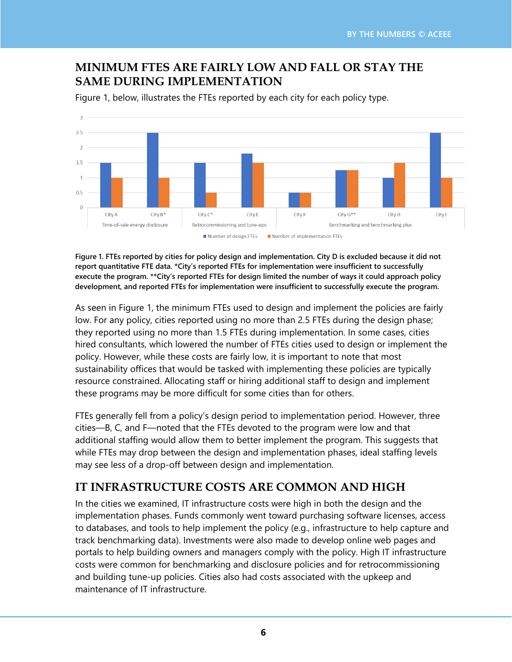### **MINIMUM FTES ARE FAIRLY LOW AND FALL OR STAY THE SAME DURING IMPLEMENTATION**



Figure 1, below, illustrates the FTEs reported by each city for each policy type.

Figure 1. FTEs reported by cities for policy design and implementation. City D is excluded because it did not **report quantitative FTE data. \*City's reported FTEs for implementation were insufficient to successfully** execute the program. \*\* City's reported FTEs for design limited the number of ways it could approach policy **development, and reported FTEs for implementation were insufficient to successfully execute the program.**

As seen in Figure 1, the minimum FTEs used to design and implement the policies are fairly low. For any policy, cities reported using no more than 2.5 FTEs during the design phase; they reported using no more than 1.5 FTEs during implementation. In some cases, cities hired consultants, which lowered the number of FTEs cities used to design or implement the policy. However, while these costs are fairly low, it is important to note that most sustainability offices that would be tasked with implementing these policies are typically resource constrained. Allocating staff or hiring additional staff to design and implement these programs may be more difficult for some cities than for others.

FTEs generally fell from a policy's design period to implementation period. However, three cities—B, C, and F—noted that the FTEs devoted to the program were low and that additional staffing would allow them to better implement the program. This suggests that while FTEs may drop between the design and implementation phases, ideal staffing levels may see less of a drop-off between design and implementation.

### **IT INFRASTRUCTURE COSTS ARE COMMON AND HIGH**

In the cities we examined, IT infrastructure costs were high in both the design and the implementation phases. Funds commonly went toward purchasing software licenses, access to databases, and tools to help implement the policy (e.g., infrastructure to help capture and track benchmarking data). Investments were also made to develop online web pages and portals to help building owners and managers comply with the policy. High IT infrastructure costs were common for benchmarking and disclosure policies and for retrocommissioning and building tune-up policies. Cities also had costs associated with the upkeep and maintenance of IT infrastructure.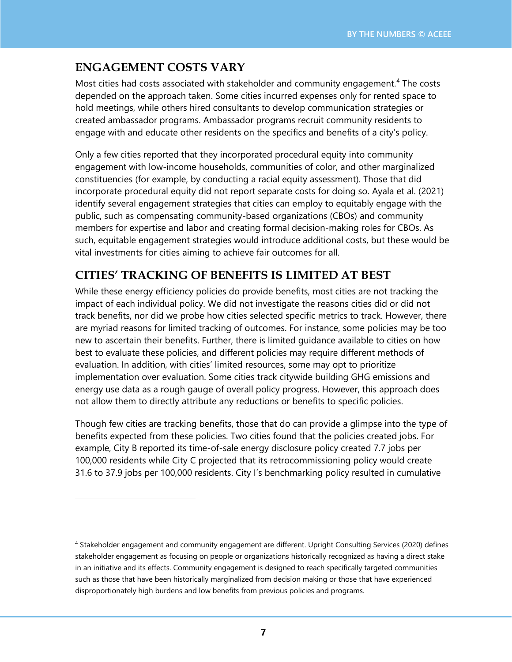## **ENGAGEMENT COSTS VARY**

Most cities had costs associated with stakeholder and community engagement.<sup>[4](#page-6-0)</sup> The costs depended on the approach taken. Some cities incurred expenses only for rented space to hold meetings, while others hired consultants to develop communication strategies or created ambassador programs. Ambassador programs recruit community residents to engage with and educate other residents on the specifics and benefits of a city's policy.

Only a few cities reported that they incorporated procedural equity into community engagement with low-income households, communities of color, and other marginalized constituencies (for example, by conducting a racial equity assessment). Those that did incorporate procedural equity did not report separate costs for doing so. Ayala et al. (2021) identify several engagement strategies that cities can employ to equitably engage with the public, such as compensating community-based organizations (CBOs) and community members for expertise and labor and creating formal decision-making roles for CBOs. As such, equitable engagement strategies would introduce additional costs, but these would be vital investments for cities aiming to achieve fair outcomes for all.

## **CITIES' TRACKING OF BENEFITS IS LIMITED AT BEST**

While these energy efficiency policies do provide benefits, most cities are not tracking the impact of each individual policy. We did not investigate the reasons cities did or did not track benefits, nor did we probe how cities selected specific metrics to track. However, there are myriad reasons for limited tracking of outcomes. For instance, some policies may be too new to ascertain their benefits. Further, there is limited guidance available to cities on how best to evaluate these policies, and different policies may require different methods of evaluation. In addition, with cities' limited resources, some may opt to prioritize implementation over evaluation. Some cities track citywide building GHG emissions and energy use data as a rough gauge of overall policy progress. However, this approach does not allow them to directly attribute any reductions or benefits to specific policies.

Though few cities are tracking benefits, those that do can provide a glimpse into the type of benefits expected from these policies. Two cities found that the policies created jobs. For example, City B reported its time-of-sale energy disclosure policy created 7.7 jobs per 100,000 residents while City C projected that its retrocommissioning policy would create 31.6 to 37.9 jobs per 100,000 residents. City I's benchmarking policy resulted in cumulative

<span id="page-6-0"></span><sup>4</sup> Stakeholder engagement and community engagement are different. Upright Consulting Services (2020) defines stakeholder engagement as focusing on people or organizations historically recognized as having a direct stake in an initiative and its effects. Community engagement is designed to reach specifically targeted communities such as those that have been historically marginalized from decision making or those that have experienced disproportionately high burdens and low benefits from previous policies and programs.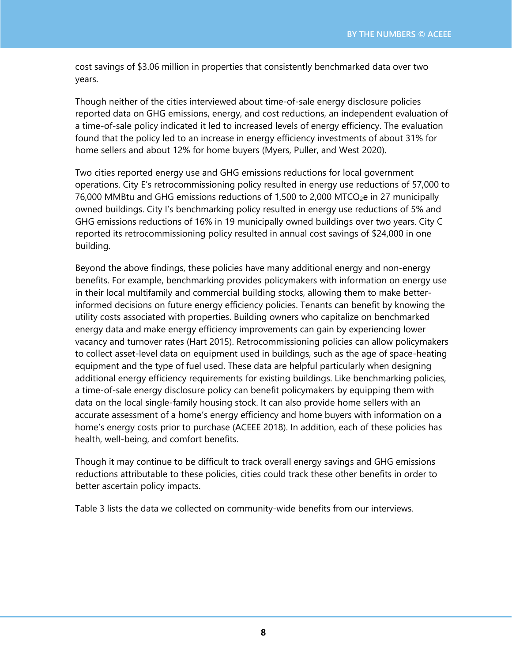cost savings of \$3.06 million in properties that consistently benchmarked data over two years.

Though neither of the cities interviewed about time-of-sale energy disclosure policies reported data on GHG emissions, energy, and cost reductions, an independent evaluation of a time-of-sale policy indicated it led to increased levels of energy efficiency. The evaluation found that the policy led to an increase in energy efficiency investments of about 31% for home sellers and about 12% for home buyers (Myers, Puller, and West 2020).

Two cities reported energy use and GHG emissions reductions for local government operations. City E's retrocommissioning policy resulted in energy use reductions of 57,000 to 76,000 MMBtu and GHG emissions reductions of 1,500 to 2,000 MTCO $_{2}e$  in 27 municipally owned buildings. City I's benchmarking policy resulted in energy use reductions of 5% and GHG emissions reductions of 16% in 19 municipally owned buildings over two years. City C reported its retrocommissioning policy resulted in annual cost savings of \$24,000 in one building.

Beyond the above findings, these policies have many additional energy and non-energy benefits. For example, benchmarking provides policymakers with information on energy use in their local multifamily and commercial building stocks, allowing them to make betterinformed decisions on future energy efficiency policies. Tenants can benefit by knowing the utility costs associated with properties. Building owners who capitalize on benchmarked energy data and make energy efficiency improvements can gain by experiencing lower vacancy and turnover rates (Hart 2015). Retrocommissioning policies can allow policymakers to collect asset-level data on equipment used in buildings, such as the age of space-heating equipment and the type of fuel used. These data are helpful particularly when designing additional energy efficiency requirements for existing buildings. Like benchmarking policies, a time-of-sale energy disclosure policy can benefit policymakers by equipping them with data on the local single-family housing stock. It can also provide home sellers with an accurate assessment of a home's energy efficiency and home buyers with information on a home's energy costs prior to purchase (ACEEE 2018). In addition, each of these policies has health, well-being, and comfort benefits.

Though it may continue to be difficult to track overall energy savings and GHG emissions reductions attributable to these policies, cities could track these other benefits in order to better ascertain policy impacts.

Table 3 lists the data we collected on community-wide benefits from our interviews.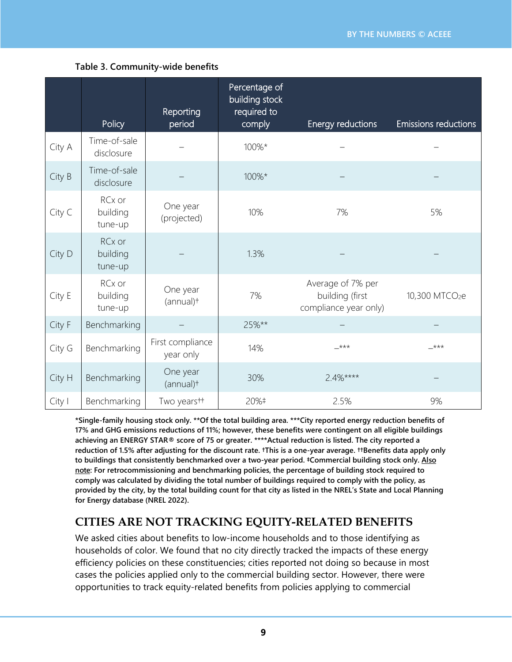|        | Policy                        | Reporting<br>period               | Percentage of<br>building stock<br>required to<br>comply | Energy reductions                                             | Emissions reductions       |
|--------|-------------------------------|-----------------------------------|----------------------------------------------------------|---------------------------------------------------------------|----------------------------|
| City A | Time-of-sale<br>disclosure    |                                   | 100%*                                                    |                                                               |                            |
| City B | Time-of-sale<br>disclosure    |                                   | 100%*                                                    |                                                               |                            |
| City C | RCx or<br>building<br>tune-up | One year<br>(projected)           | 10%                                                      | 7%                                                            | 5%                         |
| City D | RCx or<br>building<br>tune-up |                                   | 1.3%                                                     |                                                               |                            |
| City E | RCx or<br>building<br>tune-up | One year<br>(annual) <sup>+</sup> | 7%                                                       | Average of 7% per<br>building (first<br>compliance year only) | 10,300 MTCO <sub>2</sub> e |
| City F | Benchmarking                  |                                   | 25%**                                                    |                                                               |                            |
| City G | Benchmarking                  | First compliance<br>year only     | 14%<br>$+***$                                            |                                                               | $-***$                     |
| City H | Benchmarking                  | One year<br>(annual)+             | 30%                                                      | $2.4%***$                                                     |                            |
| City I | Benchmarking                  | Two yearstt                       | 20%‡                                                     | 2.5%                                                          | 9%                         |

**\*Single-family housing stock only. \*\*Of the total building area. \*\*\*City reported energy reduction benefits of 17% and GHG emissions reductions of 11%; however, these benefits were contingent on all eligible buildings achieving an ENERGY STAR® score of 75 or greater. \*\*\*\*Actual reduction is listed. The city reported a** reduction of 1.5% after adjusting for the discount rate. †This is a one-year average. ††Benefits data apply only **to buildings that consistently benchmarked over a two-year period. ‡Commercial building stock only. Also note: For retrocommissioning and benchmarking policies, the percentage of building stock required to comply was calculated by dividing the total number of buildings required to comply with the policy, as** provided by the city, by the total building count for that city as listed in the NREL's State and Local Planning **for Energy database (NREL 2022).**

### **CITIES ARE NOT TRACKING EQUITY-RELATED BENEFITS**

We asked cities about benefits to low-income households and to those identifying as households of color. We found that no city directly tracked the impacts of these energy efficiency policies on these constituencies; cities reported not doing so because in most cases the policies applied only to the commercial building sector. However, there were opportunities to track equity-related benefits from policies applying to commercial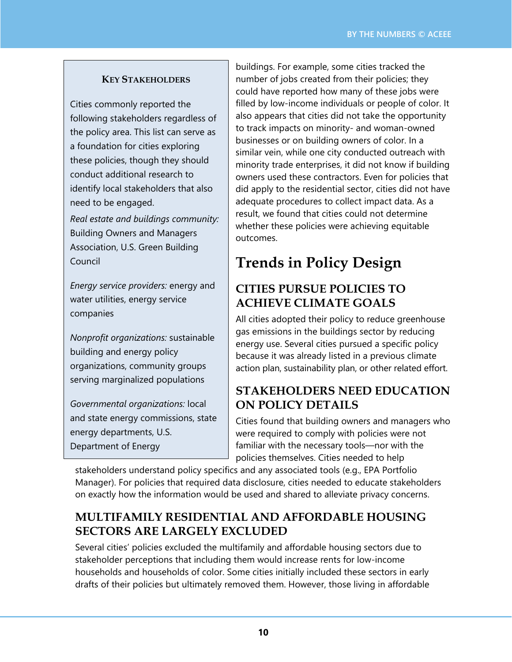#### **KEY STAKEHOLDERS**

Cities commonly reported the following stakeholders regardless of the policy area. This list can serve as a foundation for cities exploring these policies, though they should conduct additional research to identify local stakeholders that also need to be engaged.

*Real estate and buildings community:* Building Owners and Managers Association, U.S. Green Building Council

*Energy service providers:* energy and water utilities, energy service companies

*Nonprofit organizations:* sustainable building and energy policy organizations, community groups serving marginalized populations

*Governmental organizations:* local and state energy commissions, state energy departments, U.S. Department of Energy

buildings. For example, some cities tracked the number of jobs created from their policies; they could have reported how many of these jobs were filled by low-income individuals or people of color. It also appears that cities did not take the opportunity to track impacts on minority- and woman-owned businesses or on building owners of color. In a similar vein, while one city conducted outreach with minority trade enterprises, it did not know if building owners used these contractors. Even for policies that did apply to the residential sector, cities did not have adequate procedures to collect impact data. As a result, we found that cities could not determine whether these policies were achieving equitable outcomes.

# **Trends in Policy Design**

### **CITIES PURSUE POLICIES TO ACHIEVE CLIMATE GOALS**

All cities adopted their policy to reduce greenhouse gas emissions in the buildings sector by reducing energy use. Several cities pursued a specific policy because it was already listed in a previous climate action plan, sustainability plan, or other related effort.

### **STAKEHOLDERS NEED EDUCATION ON POLICY DETAILS**

Cities found that building owners and managers who were required to comply with policies were not familiar with the necessary tools—nor with the policies themselves. Cities needed to help

stakeholders understand policy specifics and any associated tools (e.g., EPA Portfolio Manager). For policies that required data disclosure, cities needed to educate stakeholders on exactly how the information would be used and shared to alleviate privacy concerns.

### **MULTIFAMILY RESIDENTIAL AND AFFORDABLE HOUSING SECTORS ARE LARGELY EXCLUDED**

Several cities' policies excluded the multifamily and affordable housing sectors due to stakeholder perceptions that including them would increase rents for low-income households and households of color. Some cities initially included these sectors in early drafts of their policies but ultimately removed them. However, those living in affordable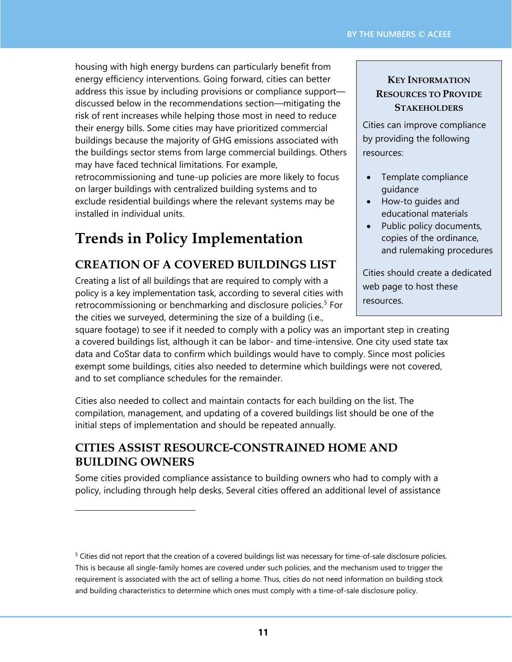housing with high energy burdens can particularly benefit from energy efficiency interventions. Going forward, cities can better address this issue by including provisions or compliance support discussed below in the recommendations section—mitigating the risk of rent increases while helping those most in need to reduce their energy bills. Some cities may have prioritized commercial buildings because the majority of GHG emissions associated with the buildings sector stems from large commercial buildings. Others may have faced technical limitations. For example, retrocommissioning and tune-up policies are more likely to focus on larger buildings with centralized building systems and to exclude residential buildings where the relevant systems may be installed in individual units.

# **Trends in Policy Implementation**

## **CREATION OF A COVERED BUILDINGS LIST**

Creating a list of all buildings that are required to comply with a policy is a key implementation task, according to several cities with retrocommissioning or benchmarking and disclosure policies. [5](#page-10-0) For the cities we surveyed, determining the size of a building (i.e.,

#### **KEY INFORMATION RESOURCES TO PROVIDE STAKEHOLDERS**

Cities can improve compliance by providing the following resources:

- Template compliance guidance
- How-to guides and educational materials
- Public policy documents, copies of the ordinance, and rulemaking procedures

Cities should create a dedicated web page to host these resources.

square footage) to see if it needed to comply with a policy was an important step in creating a covered buildings list, although it can be labor- and time-intensive. One city used state tax data and CoStar data to confirm which buildings would have to comply. Since most policies exempt some buildings, cities also needed to determine which buildings were not covered, and to set compliance schedules for the remainder.

Cities also needed to collect and maintain contacts for each building on the list. The compilation, management, and updating of a covered buildings list should be one of the initial steps of implementation and should be repeated annually.

### **CITIES ASSIST RESOURCE-CONSTRAINED HOME AND BUILDING OWNERS**

Some cities provided compliance assistance to building owners who had to comply with a policy, including through help desks. Several cities offered an additional level of assistance

<span id="page-10-0"></span> $5$  Cities did not report that the creation of a covered buildings list was necessary for time-of-sale disclosure policies. This is because all single-family homes are covered under such policies, and the mechanism used to trigger the requirement is associated with the act of selling a home. Thus, cities do not need information on building stock and building characteristics to determine which ones must comply with a time-of-sale disclosure policy.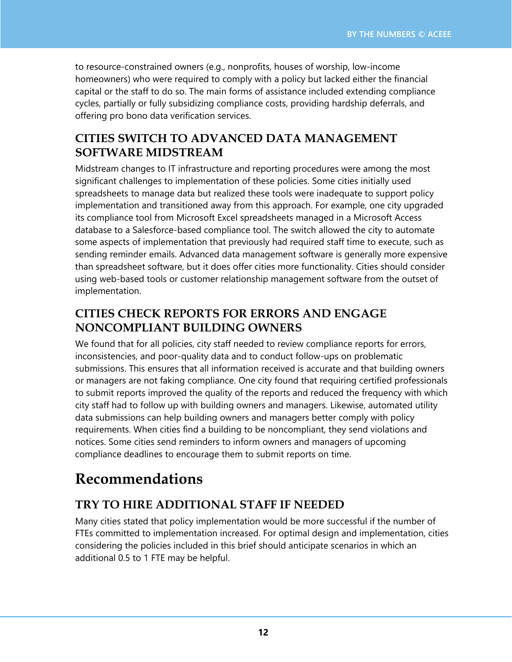to resource-constrained owners (e.g., nonprofits, houses of worship, low-income homeowners) who were required to comply with a policy but lacked either the financial capital or the staff to do so. The main forms of assistance included extending compliance cycles, partially or fully subsidizing compliance costs, providing hardship deferrals, and offering pro bono data verification services.

### **CITIES SWITCH TO ADVANCED DATA MANAGEMENT SOFTWARE MIDSTREAM**

Midstream changes to IT infrastructure and reporting procedures were among the most significant challenges to implementation of these policies. Some cities initially used spreadsheets to manage data but realized these tools were inadequate to support policy implementation and transitioned away from this approach. For example, one city upgraded its compliance tool from Microsoft Excel spreadsheets managed in a Microsoft Access database to a Salesforce-based compliance tool. The switch allowed the city to automate some aspects of implementation that previously had required staff time to execute, such as sending reminder emails. Advanced data management software is generally more expensive than spreadsheet software, but it does offer cities more functionality. Cities should consider using web-based tools or customer relationship management software from the outset of implementation.

### **CITIES CHECK REPORTS FOR ERRORS AND ENGAGE NONCOMPLIANT BUILDING OWNERS**

We found that for all policies, city staff needed to review compliance reports for errors, inconsistencies, and poor-quality data and to conduct follow-ups on problematic submissions. This ensures that all information received is accurate and that building owners or managers are not faking compliance. One city found that requiring certified professionals to submit reports improved the quality of the reports and reduced the frequency with which city staff had to follow up with building owners and managers. Likewise, automated utility data submissions can help building owners and managers better comply with policy requirements. When cities find a building to be noncompliant, they send violations and notices. Some cities send reminders to inform owners and managers of upcoming compliance deadlines to encourage them to submit reports on time.

# **Recommendations**

## **TRY TO HIRE ADDITIONAL STAFF IF NEEDED**

Many cities stated that policy implementation would be more successful if the number of FTEs committed to implementation increased. For optimal design and implementation, cities considering the policies included in this brief should anticipate scenarios in which an additional 0.5 to 1 FTE may be helpful.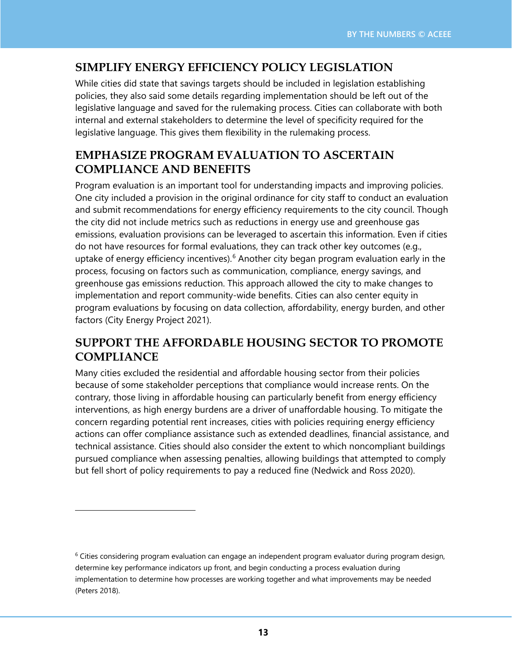### **SIMPLIFY ENERGY EFFICIENCY POLICY LEGISLATION**

While cities did state that savings targets should be included in legislation establishing policies, they also said some details regarding implementation should be left out of the legislative language and saved for the rulemaking process. Cities can collaborate with both internal and external stakeholders to determine the level of specificity required for the legislative language. This gives them flexibility in the rulemaking process.

### **EMPHASIZE PROGRAM EVALUATION TO ASCERTAIN COMPLIANCE AND BENEFITS**

Program evaluation is an important tool for understanding impacts and improving policies. One city included a provision in the original ordinance for city staff to conduct an evaluation and submit recommendations for energy efficiency requirements to the city council. Though the city did not include metrics such as reductions in energy use and greenhouse gas emissions, evaluation provisions can be leveraged to ascertain this information. Even if cities do not have resources for formal evaluations, they can track other key outcomes (e.g., uptake of energy efficiency incentives).<sup>[6](#page-12-0)</sup> Another city began program evaluation early in the process, focusing on factors such as communication, compliance, energy savings, and greenhouse gas emissions reduction. This approach allowed the city to make changes to implementation and report community-wide benefits. Cities can also center equity in program evaluations by focusing on data collection, affordability, energy burden, and other factors (City Energy Project 2021).

### **SUPPORT THE AFFORDABLE HOUSING SECTOR TO PROMOTE COMPLIANCE**

Many cities excluded the residential and affordable housing sector from their policies because of some stakeholder perceptions that compliance would increase rents. On the contrary, those living in affordable housing can particularly benefit from energy efficiency interventions, as high energy burdens are a driver of unaffordable housing. To mitigate the concern regarding potential rent increases, cities with policies requiring energy efficiency actions can offer compliance assistance such as extended deadlines, financial assistance, and technical assistance. Cities should also consider the extent to which noncompliant buildings pursued compliance when assessing penalties, allowing buildings that attempted to comply but fell short of policy requirements to pay a reduced fine (Nedwick and Ross 2020).

<span id="page-12-0"></span> $6$  Cities considering program evaluation can engage an independent program evaluator during program design, determine key performance indicators up front, and begin conducting a process evaluation during implementation to determine how processes are working together and what improvements may be needed (Peters 2018).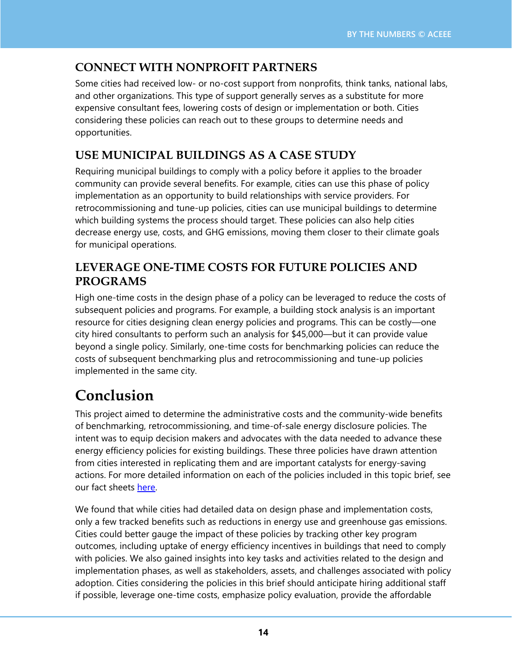## **CONNECT WITH NONPROFIT PARTNERS**

Some cities had received low- or no-cost support from nonprofits, think tanks, national labs, and other organizations. This type of support generally serves as a substitute for more expensive consultant fees, lowering costs of design or implementation or both. Cities considering these policies can reach out to these groups to determine needs and opportunities.

## **USE MUNICIPAL BUILDINGS AS A CASE STUDY**

Requiring municipal buildings to comply with a policy before it applies to the broader community can provide several benefits. For example, cities can use this phase of policy implementation as an opportunity to build relationships with service providers. For retrocommissioning and tune-up policies, cities can use municipal buildings to determine which building systems the process should target. These policies can also help cities decrease energy use, costs, and GHG emissions, moving them closer to their climate goals for municipal operations.

### **LEVERAGE ONE-TIME COSTS FOR FUTURE POLICIES AND PROGRAMS**

High one-time costs in the design phase of a policy can be leveraged to reduce the costs of subsequent policies and programs. For example, a building stock analysis is an important resource for cities designing clean energy policies and programs. This can be costly—one city hired consultants to perform such an analysis for \$45,000—but it can provide value beyond a single policy. Similarly, one-time costs for benchmarking policies can reduce the costs of subsequent benchmarking plus and retrocommissioning and tune-up policies implemented in the same city.

# **Conclusion**

This project aimed to determine the administrative costs and the community-wide benefits of benchmarking, retrocommissioning, and time-of-sale energy disclosure policies. The intent was to equip decision makers and advocates with the data needed to advance these energy efficiency policies for existing buildings. These three policies have drawn attention from cities interested in replicating them and are important catalysts for energy-saving actions. For more detailed information on each of the policies included in this topic brief, see our fact sheets [here.](https://www.aceee.org/topic-brief/2022/04/benefits-and-administrative-costs-local-building-efficiency-policies)

We found that while cities had detailed data on design phase and implementation costs, only a few tracked benefits such as reductions in energy use and greenhouse gas emissions. Cities could better gauge the impact of these policies by tracking other key program outcomes, including uptake of energy efficiency incentives in buildings that need to comply with policies. We also gained insights into key tasks and activities related to the design and implementation phases, as well as stakeholders, assets, and challenges associated with policy adoption. Cities considering the policies in this brief should anticipate hiring additional staff if possible, leverage one-time costs, emphasize policy evaluation, provide the affordable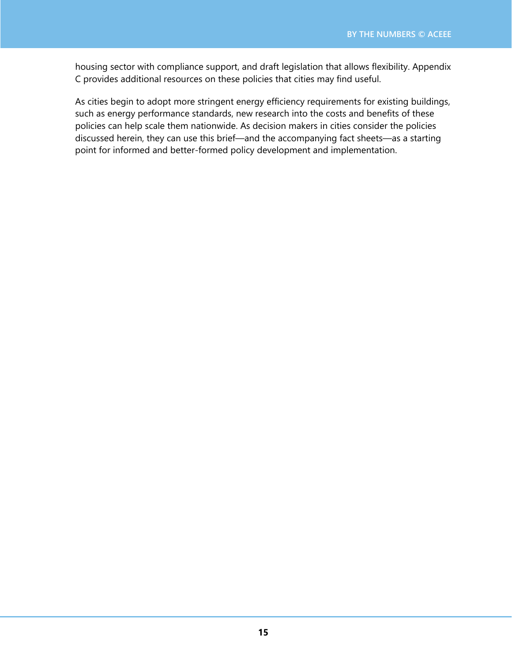housing sector with compliance support, and draft legislation that allows flexibility. Appendix C provides additional resources on these policies that cities may find useful.

As cities begin to adopt more stringent energy efficiency requirements for existing buildings, such as energy performance standards, new research into the costs and benefits of these policies can help scale them nationwide. As decision makers in cities consider the policies discussed herein, they can use this brief—and the accompanying fact sheets—as a starting point for informed and better-formed policy development and implementation.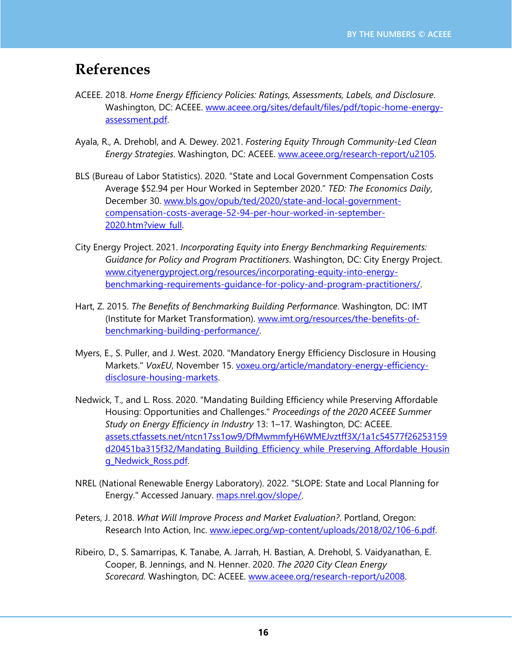## **References**

- ACEEE. 2018. *Home Energy Efficiency Policies: Ratings, Assessments, Labels, and Disclosure*. Washington, DC: ACEEE. [www.aceee.org/sites/default/files/pdf/topic-home-energy](https://www.aceee.org/sites/default/files/pdf/topic-home-energy-assessment.pdf)[assessment.pdf.](https://www.aceee.org/sites/default/files/pdf/topic-home-energy-assessment.pdf)
- Ayala, R., A. Drehobl, and A. Dewey. 2021. *Fostering Equity Through Community-Led Clean Energy Strategies*. Washington, DC: ACEEE. [www.aceee.org/research-report/u2105.](https://www.aceee.org/research-report/u2105)
- BLS (Bureau of Labor Statistics). 2020. "State and Local Government Compensation Costs Average \$52.94 per Hour Worked in September 2020." *TED: The Economics Daily*, December 30. [www.bls.gov/opub/ted/2020/state-and-local-government](https://www.bls.gov/opub/ted/2020/state-and-local-government-compensation-costs-average-52-94-per-hour-worked-in-september-2020.htm?view_full)[compensation-costs-average-52-94-per-hour-worked-in-september-](https://www.bls.gov/opub/ted/2020/state-and-local-government-compensation-costs-average-52-94-per-hour-worked-in-september-2020.htm?view_full)[2020.htm?view\\_full.](https://www.bls.gov/opub/ted/2020/state-and-local-government-compensation-costs-average-52-94-per-hour-worked-in-september-2020.htm?view_full)
- City Energy Project. 2021. *Incorporating Equity into Energy Benchmarking Requirements: Guidance for Policy and Program Practitioners*. Washington, DC: City Energy Project. [www.cityenergyproject.org/resources/incorporating-equity-into-energy](https://www.cityenergyproject.org/resources/incorporating-equity-into-energy-benchmarking-requirements-guidance-for-policy-and-program-practitioners/)[benchmarking-requirements-guidance-for-policy-and-program-practitioners/.](https://www.cityenergyproject.org/resources/incorporating-equity-into-energy-benchmarking-requirements-guidance-for-policy-and-program-practitioners/)
- Hart, Z. 2015. *The Benefits of Benchmarking Building Performance*. Washington, DC: IMT (Institute for Market Transformation). [www.imt.org/resources/the-benefits-of](https://www.imt.org/resources/the-benefits-of-benchmarking-building-performance/)[benchmarking-building-performance/.](https://www.imt.org/resources/the-benefits-of-benchmarking-building-performance/)
- Myers, E., S. Puller, and J. West. 2020. "Mandatory Energy Efficiency Disclosure in Housing Markets." *VoxEU*, November 15. [voxeu.org/article/mandatory-energy-efficiency](https://voxeu.org/article/mandatory-energy-efficiency-disclosure-housing-markets)[disclosure-housing-markets.](https://voxeu.org/article/mandatory-energy-efficiency-disclosure-housing-markets)
- Nedwick, T., and L. Ross. 2020. "Mandating Building Efficiency while Preserving Affordable Housing: Opportunities and Challenges." *Proceedings of the 2020 ACEEE Summer Study on Energy Efficiency in Industry* 13: 1–17. Washington, DC: ACEEE. [assets.ctfassets.net/ntcn17ss1ow9/DfMwmmfyH6WMEJvztff3X/1a1c54577f26253159](https://assets.ctfassets.net/ntcn17ss1ow9/DfMwmmfyH6WMEJvztff3X/1a1c54577f26253159d20451ba315f32/Mandating_Building_Efficiency_while_Preserving_Affordable_Housing_Nedwick_Ross.pdf) [d20451ba315f32/Mandating\\_Building\\_Efficiency\\_while\\_Preserving\\_Affordable\\_Housin](https://assets.ctfassets.net/ntcn17ss1ow9/DfMwmmfyH6WMEJvztff3X/1a1c54577f26253159d20451ba315f32/Mandating_Building_Efficiency_while_Preserving_Affordable_Housing_Nedwick_Ross.pdf) [g\\_Nedwick\\_Ross.pdf.](https://assets.ctfassets.net/ntcn17ss1ow9/DfMwmmfyH6WMEJvztff3X/1a1c54577f26253159d20451ba315f32/Mandating_Building_Efficiency_while_Preserving_Affordable_Housing_Nedwick_Ross.pdf)
- NREL (National Renewable Energy Laboratory). 2022. "SLOPE: State and Local Planning for Energy." Accessed January. [maps.nrel.gov/slope/.](https://maps.nrel.gov/slope/)
- Peters, J. 2018. *What Will Improve Process and Market Evaluation?*. Portland, Oregon: Research Into Action, Inc. [www.iepec.org/wp-content/uploads/2018/02/106-6.pdf.](https://www.iepec.org/wp-content/uploads/2018/02/106-6.pdf)
- Ribeiro, D., S. Samarripas, K. Tanabe, A. Jarrah, H. Bastian, A. Drehobl, S. Vaidyanathan, E. Cooper, B. Jennings, and N. Henner. 2020. *The 2020 City Clean Energy Scorecard.* Washington, DC: ACEEE. [www.aceee.org/research-report/u2008.](https://www.aceee.org/research-report/u2008)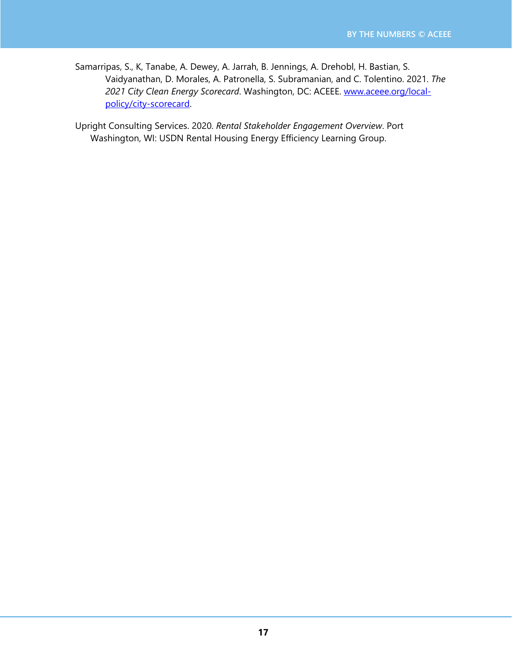Samarripas, S., K, Tanabe, A. Dewey, A. Jarrah, B. Jennings, A. Drehobl, H. Bastian, S. Vaidyanathan, D. Morales, A. Patronella, S. Subramanian, and C. Tolentino. 2021. *The 2021 City Clean Energy Scorecard*. Washington, DC: ACEEE. [www.aceee.org/local](http://www.aceee.org/local-policy/city-scorecard)[policy/city-scorecard.](http://www.aceee.org/local-policy/city-scorecard)

Upright Consulting Services. 2020. *Rental Stakeholder Engagement Overview*. Port Washington, WI: USDN Rental Housing Energy Efficiency Learning Group.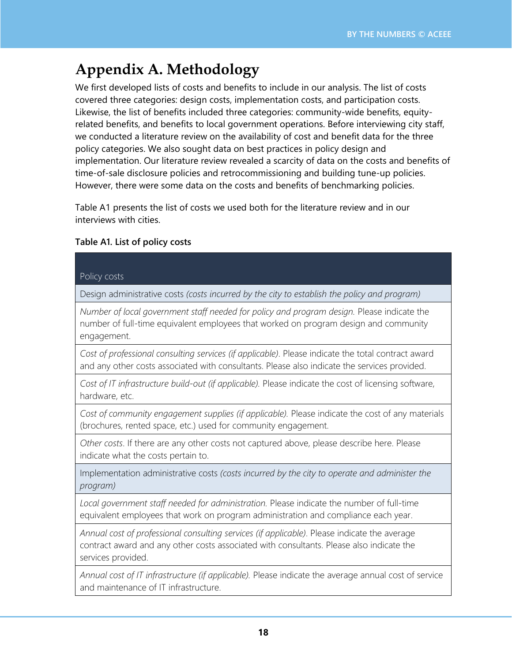# **Appendix A. Methodology**

We first developed lists of costs and benefits to include in our analysis. The list of costs covered three categories: design costs, implementation costs, and participation costs. Likewise, the list of benefits included three categories: community-wide benefits, equityrelated benefits, and benefits to local government operations. Before interviewing city staff, we conducted a literature review on the availability of cost and benefit data for the three policy categories. We also sought data on best practices in policy design and implementation. Our literature review revealed a scarcity of data on the costs and benefits of time-of-sale disclosure policies and retrocommissioning and building tune-up policies. However, there were some data on the costs and benefits of benchmarking policies.

Table A1 presents the list of costs we used both for the literature review and in our interviews with cities.

#### **Table A1. List of policy costs**

#### Policy costs

Design administrative costs *(costs incurred by the city to establish the policy and program)*

*Number of local government staff needed for policy and program design.* Please indicate the number of full-time equivalent employees that worked on program design and community engagement.

*Cost of professional consulting services (if applicable)*. Please indicate the total contract award and any other costs associated with consultants. Please also indicate the services provided.

*Cost of IT infrastructure build-out (if applicable).* Please indicate the cost of licensing software, hardware, etc.

*Cost of community engagement supplies (if applicable).* Please indicate the cost of any materials (brochures, rented space, etc.) used for community engagement.

*Other costs*. If there are any other costs not captured above, please describe here. Please indicate what the costs pertain to.

Implementation administrative costs *(costs incurred by the city to operate and administer the program)*

*Local government staff needed for administration.* Please indicate the number of full-time equivalent employees that work on program administration and compliance each year.

*Annual cost of professional consulting services (if applicable)*. Please indicate the average contract award and any other costs associated with consultants. Please also indicate the services provided.

*Annual cost of IT infrastructure (if applicable).* Please indicate the average annual cost of service and maintenance of IT infrastructure.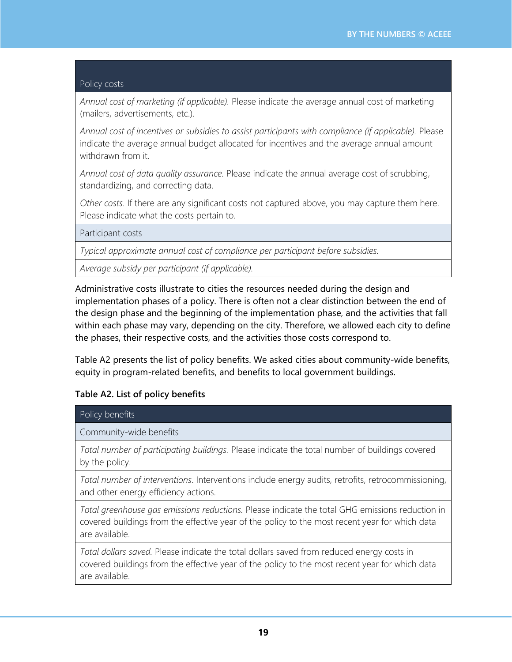#### Policy costs

*Annual cost of marketing (if applicable).* Please indicate the average annual cost of marketing (mailers, advertisements, etc.).

*Annual cost of incentives or subsidies to assist participants with compliance (if applicable).* Please indicate the average annual budget allocated for incentives and the average annual amount withdrawn from it.

*Annual cost of data quality assurance*. Please indicate the annual average cost of scrubbing, standardizing, and correcting data.

*Other costs*. If there are any significant costs not captured above, you may capture them here. Please indicate what the costs pertain to.

Participant costs

*Typical approximate annual cost of compliance per participant before subsidies.* 

*Average subsidy per participant (if applicable).*

Administrative costs illustrate to cities the resources needed during the design and implementation phases of a policy. There is often not a clear distinction between the end of the design phase and the beginning of the implementation phase, and the activities that fall within each phase may vary, depending on the city. Therefore, we allowed each city to define the phases, their respective costs, and the activities those costs correspond to.

Table A2 presents the list of policy benefits. We asked cities about community-wide benefits, equity in program-related benefits, and benefits to local government buildings.

#### **Table A2. List of policy benefits**

| Policy benefits                                                                                                                                                                                                     |
|---------------------------------------------------------------------------------------------------------------------------------------------------------------------------------------------------------------------|
| Community-wide benefits                                                                                                                                                                                             |
| Total number of participating buildings. Please indicate the total number of buildings covered<br>by the policy.                                                                                                    |
| Total number of interventions. Interventions include energy audits, retrofits, retrocommissioning,<br>and other energy efficiency actions.                                                                          |
| Total greenhouse gas emissions reductions. Please indicate the total GHG emissions reduction in<br>covered buildings from the effective year of the policy to the most recent year for which data<br>are available. |
| Total dollars saved. Please indicate the total dollars saved from reduced energy costs in<br>covered buildings from the effective year of the policy to the most recent year for which data<br>are available.       |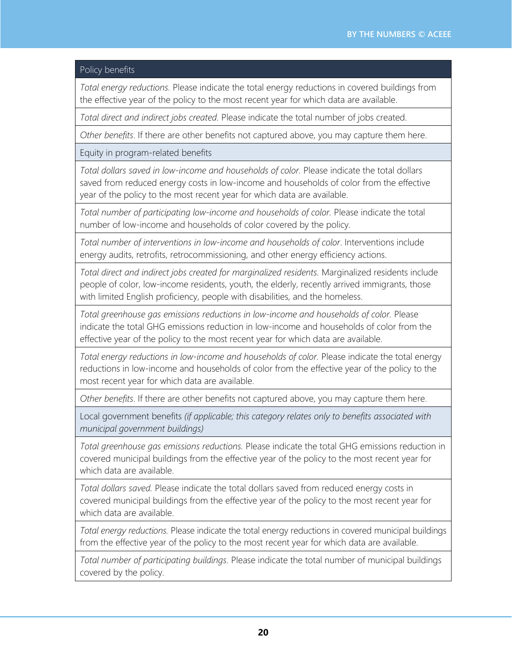#### Policy benefits

*Total energy reductions.* Please indicate the total energy reductions in covered buildings from the effective year of the policy to the most recent year for which data are available.

*Total direct and indirect jobs created.* Please indicate the total number of jobs created.

*Other benefits*. If there are other benefits not captured above, you may capture them here.

Equity in program-related benefits

*Total dollars saved in low-income and households of color.* Please indicate the total dollars saved from reduced energy costs in low-income and households of color from the effective year of the policy to the most recent year for which data are available.

*Total number of participating low-income and households of color.* Please indicate the total number of low-income and households of color covered by the policy.

*Total number of interventions in low-income and households of color*. Interventions include energy audits, retrofits, retrocommissioning, and other energy efficiency actions.

*Total direct and indirect jobs created for marginalized residents.* Marginalized residents include people of color, low-income residents, youth, the elderly, recently arrived immigrants, those with limited English proficiency, people with disabilities, and the homeless.

*Total greenhouse gas emissions reductions in low-income and households of color.* Please indicate the total GHG emissions reduction in low-income and households of color from the effective year of the policy to the most recent year for which data are available.

*Total energy reductions in low-income and households of color.* Please indicate the total energy reductions in low-income and households of color from the effective year of the policy to the most recent year for which data are available.

*Other benefits*. If there are other benefits not captured above, you may capture them here.

Local government benefits *(if applicable; this category relates only to benefits associated with municipal government buildings)*

*Total greenhouse gas emissions reductions.* Please indicate the total GHG emissions reduction in covered municipal buildings from the effective year of the policy to the most recent year for which data are available.

*Total dollars saved.* Please indicate the total dollars saved from reduced energy costs in covered municipal buildings from the effective year of the policy to the most recent year for which data are available.

*Total energy reductions.* Please indicate the total energy reductions in covered municipal buildings from the effective year of the policy to the most recent year for which data are available.

*Total number of participating buildings.* Please indicate the total number of municipal buildings covered by the policy.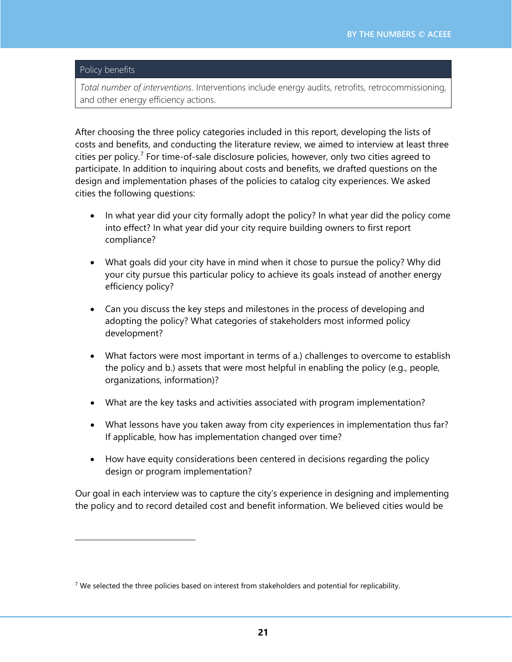#### Policy benefits

*Total number of interventions*. Interventions include energy audits, retrofits, retrocommissioning, and other energy efficiency actions.

After choosing the three policy categories included in this report, developing the lists of costs and benefits, and conducting the literature review, we aimed to interview at least three cities per policy.<sup>[7](#page-20-0)</sup> For time-of-sale disclosure policies, however, only two cities agreed to participate. In addition to inquiring about costs and benefits, we drafted questions on the design and implementation phases of the policies to catalog city experiences. We asked cities the following questions:

- In what year did your city formally adopt the policy? In what year did the policy come into effect? In what year did your city require building owners to first report compliance?
- What goals did your city have in mind when it chose to pursue the policy? Why did your city pursue this particular policy to achieve its goals instead of another energy efficiency policy?
- Can you discuss the key steps and milestones in the process of developing and adopting the policy? What categories of stakeholders most informed policy development?
- What factors were most important in terms of a.) challenges to overcome to establish the policy and b.) assets that were most helpful in enabling the policy (e.g., people, organizations, information)?
- What are the key tasks and activities associated with program implementation?
- What lessons have you taken away from city experiences in implementation thus far? If applicable, how has implementation changed over time?
- How have equity considerations been centered in decisions regarding the policy design or program implementation?

Our goal in each interview was to capture the city's experience in designing and implementing the policy and to record detailed cost and benefit information. We believed cities would be

<span id="page-20-0"></span> $7$  We selected the three policies based on interest from stakeholders and potential for replicability.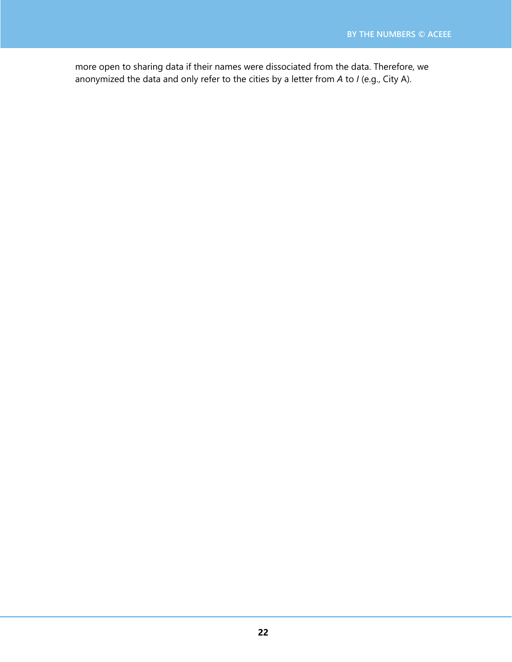more open to sharing data if their names were dissociated from the data. Therefore, we anonymized the data and only refer to the cities by a letter from *A* to *I* (e.g., City A).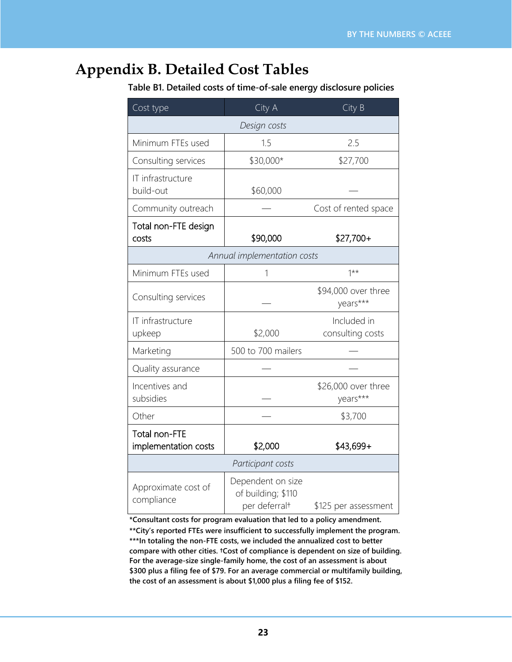## **Appendix B. Detailed Cost Tables**

 **Table B1. Detailed costs of time-of-sale energy disclosure policies**

| Cost type                             | City A                                                               | City B                          |  |  |  |  |
|---------------------------------------|----------------------------------------------------------------------|---------------------------------|--|--|--|--|
| Design costs                          |                                                                      |                                 |  |  |  |  |
| Minimum FTEs used                     | 1.5                                                                  | 2.5                             |  |  |  |  |
| Consulting services                   | \$30,000*                                                            | \$27,700                        |  |  |  |  |
| IT infrastructure<br>build-out        | \$60,000                                                             |                                 |  |  |  |  |
| Community outreach                    |                                                                      | Cost of rented space            |  |  |  |  |
| Total non-FTE design<br>costs         | \$90,000                                                             | $$27,700+$                      |  |  |  |  |
|                                       | Annual implementation costs                                          |                                 |  |  |  |  |
| Minimum FTEs used                     |                                                                      | $1***$                          |  |  |  |  |
| Consulting services                   |                                                                      | \$94,000 over three<br>years*** |  |  |  |  |
| IT infrastructure<br>upkeep           | \$2,000                                                              | Included in<br>consulting costs |  |  |  |  |
| Marketing                             | 500 to 700 mailers                                                   |                                 |  |  |  |  |
| Quality assurance                     |                                                                      |                                 |  |  |  |  |
| Incentives and<br>subsidies           |                                                                      | \$26,000 over three<br>years*** |  |  |  |  |
| Other                                 |                                                                      | \$3,700                         |  |  |  |  |
| Total non-FTE<br>implementation costs | \$2,000                                                              | \$43,699+                       |  |  |  |  |
|                                       | Participant costs                                                    |                                 |  |  |  |  |
| Approximate cost of<br>compliance     | Dependent on size<br>of building; \$110<br>per deferral <sup>+</sup> | \$125 per assessment            |  |  |  |  |

**\*Consultant costs for program evaluation that led to a policy amendment. \*\*City's reported FTEs were insufficient to successfully implement the program. \*\*\*In totaling the non-FTE costs, we included the annualized cost to better compare with other cities. †Cost of compliance is dependent on size of building. For the average-size single-family home, the cost of an assessment is about** 

**\$300 plus a filing fee of \$79. For an average commercial or multifamily building, the cost of an assessment is about \$1,000 plus a filing fee of \$152.**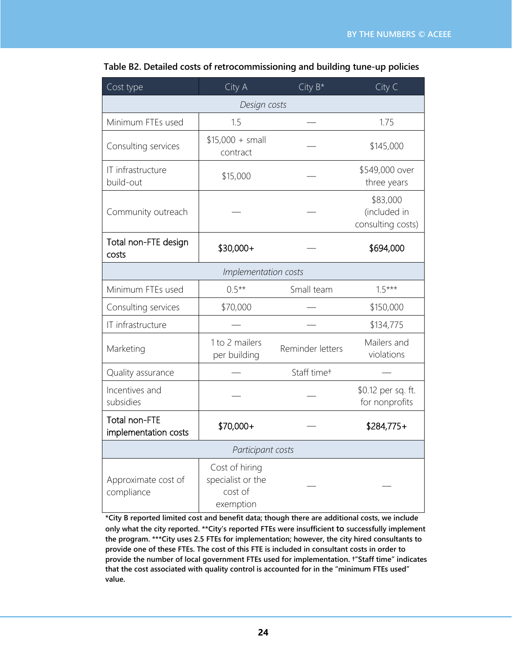| Cost type                             | City $B^*$<br>City A                                        |                         | City C                                        |  |  |  |  |
|---------------------------------------|-------------------------------------------------------------|-------------------------|-----------------------------------------------|--|--|--|--|
| Design costs                          |                                                             |                         |                                               |  |  |  |  |
| Minimum FTEs used                     | 1.5                                                         |                         | 1.75                                          |  |  |  |  |
| Consulting services                   | $$15,000 + small$<br>contract                               |                         | \$145,000                                     |  |  |  |  |
| IT infrastructure<br>build-out        | \$15,000                                                    |                         | \$549,000 over<br>three years                 |  |  |  |  |
| Community outreach                    |                                                             |                         | \$83,000<br>(included in<br>consulting costs) |  |  |  |  |
| Total non-FTE design<br>costs         | \$30,000+                                                   |                         | \$694,000                                     |  |  |  |  |
|                                       | Implementation costs                                        |                         |                                               |  |  |  |  |
| Minimum FTEs used                     | $0.5**$                                                     | Small team              | $1.5***$                                      |  |  |  |  |
| Consulting services                   | \$70,000                                                    |                         | \$150,000                                     |  |  |  |  |
| IT infrastructure                     |                                                             |                         | \$134,775                                     |  |  |  |  |
| Marketing                             | 1 to 2 mailers<br>per building                              | Reminder letters        |                                               |  |  |  |  |
| Quality assurance                     |                                                             | Staff time <sup>+</sup> |                                               |  |  |  |  |
| Incentives and<br>subsidies           |                                                             |                         | \$0.12 per sq. ft.<br>for nonprofits          |  |  |  |  |
| Total non-FTE<br>implementation costs | \$70,000+                                                   |                         | $$284,775+$                                   |  |  |  |  |
| Participant costs                     |                                                             |                         |                                               |  |  |  |  |
| Approximate cost of<br>compliance     | Cost of hiring<br>specialist or the<br>cost of<br>exemption |                         |                                               |  |  |  |  |

 **Table B2. Detailed costs of retrocommissioning and building tune-up policies**

**\*City B reported limited cost and benefit data; though there are additional costs, we include only what the city reported. \*\*City's reported FTEs were insufficient to successfully implement the program. \*\*\*City uses 2.5 FTEs for implementation; however, the city hired consultants to provide one of these FTEs. The cost of this FTE is included in consultant costs in order to provide the number of local government FTEs used for implementation. †"Staff time" indicates that the cost associated with quality control is accounted for in the "minimum FTEs used" value.**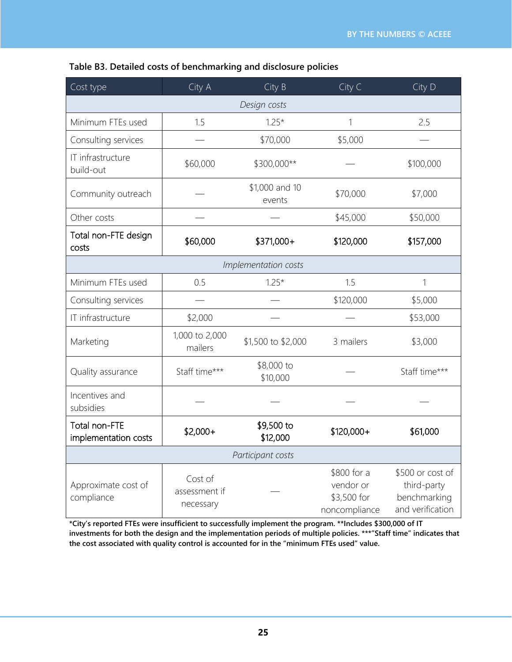| Cost type                             | City A                                | City B                  | City C                                                   | City D                                                              |  |  |  |
|---------------------------------------|---------------------------------------|-------------------------|----------------------------------------------------------|---------------------------------------------------------------------|--|--|--|
| Design costs                          |                                       |                         |                                                          |                                                                     |  |  |  |
| Minimum FTEs used                     | 1.5                                   | $1.25*$                 | 1                                                        | 2.5                                                                 |  |  |  |
| Consulting services                   |                                       | \$70,000                | \$5,000                                                  |                                                                     |  |  |  |
| IT infrastructure<br>build-out        | \$60,000                              | \$300,000**             |                                                          | \$100,000                                                           |  |  |  |
| Community outreach                    | \$1,000 and 10<br>events              |                         | \$70,000                                                 | \$7,000                                                             |  |  |  |
| Other costs                           |                                       |                         | \$45,000                                                 | \$50,000                                                            |  |  |  |
| Total non-FTE design<br>costs         | \$60,000                              | \$371,000+              | \$120,000                                                | \$157,000                                                           |  |  |  |
|                                       |                                       | Implementation costs    |                                                          |                                                                     |  |  |  |
| Minimum FTEs used                     | 0.5                                   | $1.25*$                 | 1.5                                                      | 1                                                                   |  |  |  |
| Consulting services                   |                                       |                         | \$120,000                                                | \$5,000                                                             |  |  |  |
| IT infrastructure                     | \$2,000                               |                         |                                                          | \$53,000                                                            |  |  |  |
| Marketing                             | 1,000 to 2,000<br>mailers             | \$1,500 to \$2,000      | 3 mailers                                                | \$3,000                                                             |  |  |  |
| Quality assurance                     | Staff time***                         | \$8,000 to<br>\$10,000  |                                                          | Staff time***                                                       |  |  |  |
| Incentives and<br>subsidies           |                                       |                         |                                                          |                                                                     |  |  |  |
| Total non-FTE<br>implementation costs | $$2,000+$                             | $$9,500$ to<br>\$12,000 | \$120,000+                                               | \$61,000                                                            |  |  |  |
| Participant costs                     |                                       |                         |                                                          |                                                                     |  |  |  |
| Approximate cost of<br>compliance     | Cost of<br>assessment if<br>necessary |                         | \$800 for a<br>vendor or<br>\$3,500 for<br>noncompliance | \$500 or cost of<br>third-party<br>benchmarking<br>and verification |  |  |  |

#### **Table B3. Detailed costs of benchmarking and disclosure policies**

**\*City's reported FTEs were insufficient to successfully implement the program. \*\*Includes \$300,000 of IT investments for both the design and the implementation periods of multiple policies. \*\*\*"Staff time" indicates that the cost associated with quality control is accounted for in the "minimum FTEs used" value.**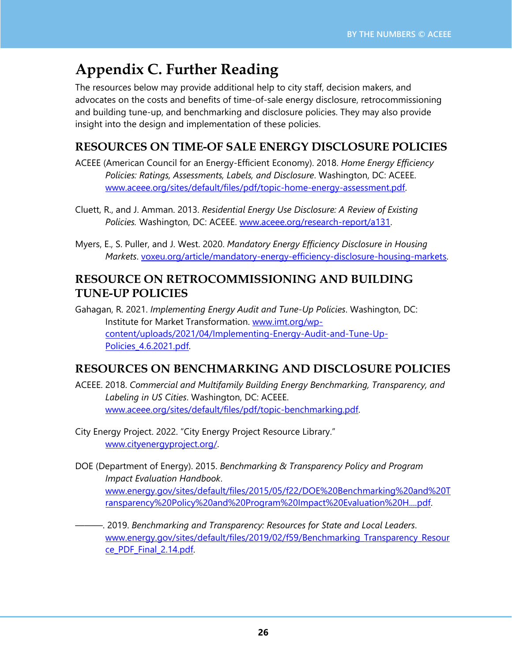# **Appendix C. Further Reading**

The resources below may provide additional help to city staff, decision makers, and advocates on the costs and benefits of time-of-sale energy disclosure, retrocommissioning and building tune-up, and benchmarking and disclosure policies. They may also provide insight into the design and implementation of these policies.

### **RESOURCES ON TIME-OF SALE ENERGY DISCLOSURE POLICIES**

- ACEEE (American Council for an Energy-Efficient Economy). 2018. *Home Energy Efficiency Policies: Ratings, Assessments, Labels, and Disclosure*. Washington, DC: ACEEE. [www.aceee.org/sites/default/files/pdf/topic-home-energy-assessment.pdf.](https://www.aceee.org/sites/default/files/pdf/topic-home-energy-assessment.pdf)
- Cluett, R., and J. Amman. 2013. *Residential Energy Use Disclosure: A Review of Existing Policies.* Washington, DC: ACEEE. [www.aceee.org/research-report/a131.](https://www.aceee.org/research-report/a131)
- Myers, E., S. Puller, and J. West. 2020. *Mandatory Energy Efficiency Disclosure in Housing Markets*. [voxeu.org/article/mandatory-energy-efficiency-disclosure-housing-markets.](https://voxeu.org/article/mandatory-energy-efficiency-disclosure-housing-markets)

#### **RESOURCE ON RETROCOMMISSIONING AND BUILDING TUNE-UP POLICIES**

Gahagan, R. 2021. *Implementing Energy Audit and Tune-Up Policies*. Washington, DC: Institute for Market Transformation. [www.imt.org/wp](https://www.imt.org/wp-content/uploads/2021/04/Implementing-Energy-Audit-and-Tune-Up-Policies_4.6.2021.pdf)[content/uploads/2021/04/Implementing-Energy-Audit-and-Tune-Up-](https://www.imt.org/wp-content/uploads/2021/04/Implementing-Energy-Audit-and-Tune-Up-Policies_4.6.2021.pdf)[Policies\\_4.6.2021.pdf.](https://www.imt.org/wp-content/uploads/2021/04/Implementing-Energy-Audit-and-Tune-Up-Policies_4.6.2021.pdf)

### **RESOURCES ON BENCHMARKING AND DISCLOSURE POLICIES**

- ACEEE. 2018. *Commercial and Multifamily Building Energy Benchmarking, Transparency, and Labeling in US Cities*. Washington, DC: ACEEE. [www.aceee.org/sites/default/files/pdf/topic-benchmarking.pdf.](https://www.aceee.org/sites/default/files/pdf/topic-benchmarking.pdf)
- City Energy Project. 2022. "City Energy Project Resource Library." [www.cityenergyproject.org/.](https://www.cityenergyproject.org/)
- DOE (Department of Energy). 2015. *Benchmarking & Transparency Policy and Program Impact Evaluation Handbook*. [www.energy.gov/sites/default/files/2015/05/f22/DOE%20Benchmarking%20and%20T](https://www.energy.gov/sites/default/files/2015/05/f22/DOE%20Benchmarking%20and%20Transparency%20Policy%20and%20Program%20Impact%20Evaluation%20H....pdf) [ransparency%20Policy%20and%20Program%20Impact%20Evaluation%20H....pdf.](https://www.energy.gov/sites/default/files/2015/05/f22/DOE%20Benchmarking%20and%20Transparency%20Policy%20and%20Program%20Impact%20Evaluation%20H....pdf)
- ———. 2019. *Benchmarking and Transparency: Resources for State and Local Leaders*. www.energy.gov/sites/default/files/2019/02/f59/Benchmarking Transparency Resour [ce\\_PDF\\_Final\\_2.14.pdf.](https://www.energy.gov/sites/default/files/2019/02/f59/Benchmarking_Transparency_Resource_PDF_Final_2.14.pdf)